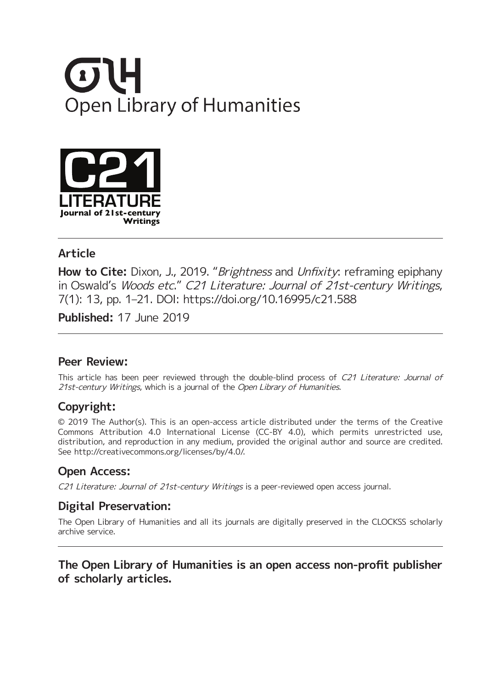



### **Article**

**How to Cite:** Dixon, J., 2019. "Brightness and Unfixity: reframing epiphany in Oswald's Woods etc." C21 Literature: Journal of 21st-century Writings, 7(1): 13, pp. 1–21. DOI: <https://doi.org/10.16995/c21.588>

**Published:** 17 June 2019

#### **Peer Review:**

This article has been peer reviewed through the double-blind process of C21 Literature: Journal of 21st-century Writings, which is a journal of the Open Library of Humanities.

# **Copyright:**

© 2019 The Author(s). This is an open-access article distributed under the terms of the Creative Commons Attribution 4.0 International License (CC-BY 4.0), which permits unrestricted use, distribution, and reproduction in any medium, provided the original author and source are credited. See <http://creativecommons.org/licenses/by/4.0/>.

### **Open Access:**

C21 Literature: Journal of 21st-century Writings is a peer-reviewed open access journal.

# **Digital Preservation:**

The Open Library of Humanities and all its journals are digitally preserved in the CLOCKSS scholarly archive service.

### **The Open Library of Humanities is an open access non-profit publisher of scholarly articles.**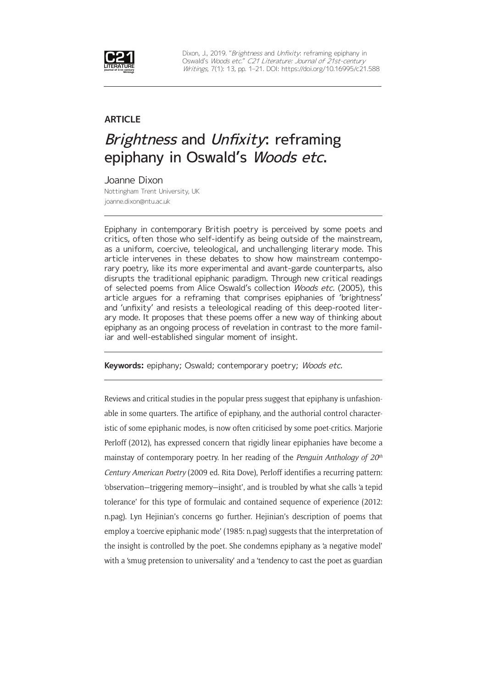

Dixon, J., 2019. "Brightness and Unfixity: reframing epiphany in Oswald's Woods etc." C21 Literature: Journal of 21st-century Writings, 7(1): 13, pp. 1-21. DOI: <https://doi.org/10.16995/c21.588>

#### **ARTICLE**

# Brightness and Unfixity: reframing epiphany in Oswald's Woods etc.

Joanne Dixon Nottingham Trent University, UK [joanne.dixon@ntu.ac.uk](mailto:joanne.dixon@ntu.ac.uk)

Epiphany in contemporary British poetry is perceived by some poets and critics, often those who self-identify as being outside of the mainstream, as a uniform, coercive, teleological, and unchallenging literary mode. This article intervenes in these debates to show how mainstream contemporary poetry, like its more experimental and avant-garde counterparts, also disrupts the traditional epiphanic paradigm. Through new critical readings of selected poems from Alice Oswald's collection Woods etc. (2005), this article argues for a reframing that comprises epiphanies of 'brightness' and 'unfixity' and resists a teleological reading of this deep-rooted literary mode. It proposes that these poems offer a new way of thinking about epiphany as an ongoing process of revelation in contrast to the more familiar and well-established singular moment of insight.

**Keywords:** epiphany; Oswald; contemporary poetry; Woods etc.

Reviews and critical studies in the popular press suggest that epiphany is unfashionable in some quarters. The artifice of epiphany, and the authorial control characteristic of some epiphanic modes, is now often criticised by some poet-critics. Marjorie Perloff (2012), has expressed concern that rigidly linear epiphanies have become a mainstay of contemporary poetry. In her reading of the *Penguin Anthology of 20th Century American Poetry* (2009 ed. Rita Dove), Perloff identifies a recurring pattern: 'observation—triggering memory—insight', and is troubled by what she calls 'a tepid tolerance' for this type of formulaic and contained sequence of experience (2012: n.pag). Lyn Hejinian's concerns go further. Hejinian's description of poems that employ a 'coercive epiphanic mode' (1985: n.pag) suggests that the interpretation of the insight is controlled by the poet. She condemns epiphany as 'a negative model' with a 'smug pretension to universality' and a 'tendency to cast the poet as guardian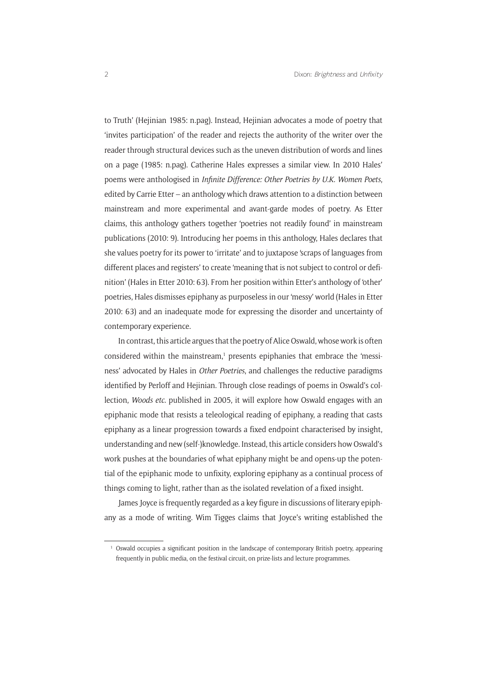to Truth' (Hejinian 1985: n.pag). Instead, Hejinian advocates a mode of poetry that 'invites participation' of the reader and rejects the authority of the writer over the reader through structural devices such as the uneven distribution of words and lines on a page (1985: n.pag). Catherine Hales expresses a similar view. In 2010 Hales' poems were anthologised in *Infinite Difference: Other Poetries by U.K. Women Poets*, edited by Carrie Etter – an anthology which draws attention to a distinction between mainstream and more experimental and avant-garde modes of poetry. As Etter claims, this anthology gathers together 'poetries not readily found' in mainstream publications (2010: 9). Introducing her poems in this anthology, Hales declares that she values poetry for its power to 'irritate' and to juxtapose 'scraps of languages from different places and registers' to create 'meaning that is not subject to control or definition' (Hales in Etter 2010: 63). From her position within Etter's anthology of 'other' poetries, Hales dismisses epiphany as purposeless in our 'messy' world (Hales in Etter 2010: 63) and an inadequate mode for expressing the disorder and uncertainty of contemporary experience.

In contrast, this article argues that the poetry of Alice Oswald, whose work is often  $\alpha$ considered within the mainstream,<sup>1</sup> presents epiphanies that embrace the 'messiness' advocated by Hales in *Other Poetries*, and challenges the reductive paradigms identified by Perloff and Hejinian. Through close readings of poems in Oswald's collection, *Woods etc.* published in 2005, it will explore how Oswald engages with an epiphanic mode that resists a teleological reading of epiphany, a reading that casts epiphany as a linear progression towards a fixed endpoint characterised by insight, understanding and new (self-)knowledge. Instead, this article considers how Oswald's work pushes at the boundaries of what epiphany might be and opens-up the potential of the epiphanic mode to unfixity, exploring epiphany as a continual process of things coming to light, rather than as the isolated revelation of a fixed insight.

James Joyce is frequently regarded as a key figure in discussions of literary epiphany as a mode of writing. Wim Tigges claims that Joyce's writing established the

<sup>1</sup> Oswald occupies a significant position in the landscape of contemporary British poetry, appearing frequently in public media, on the festival circuit, on prize-lists and lecture programmes.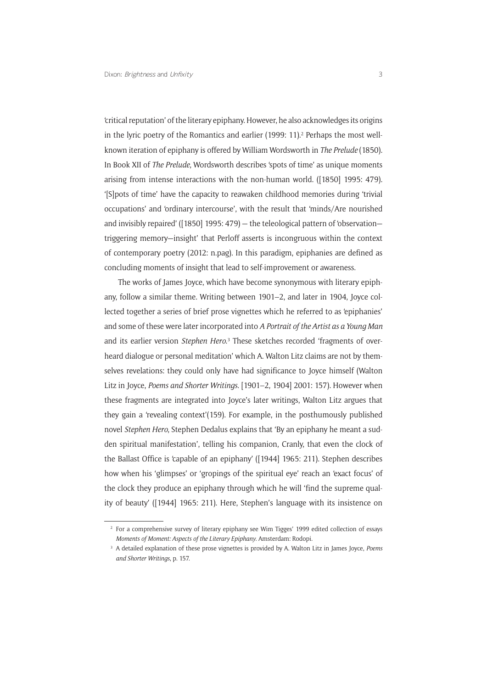'critical reputation' of the literary epiphany. However, he also acknowledges its origins in the lyric poetry of the Romantics and earlier (1999: 11).<sup>2</sup> Perhaps the most wellknown iteration of epiphany is offered by William Wordsworth in *The Prelude* (1850). In Book XII of *The Prelude*, Wordsworth describes 'spots of time' as unique moments arising from intense interactions with the non-human world. ([1850] 1995: 479). '[S]pots of time' have the capacity to reawaken childhood memories during 'trivial occupations' and 'ordinary intercourse', with the result that 'minds/Are nourished and invisibly repaired' ([1850] 1995: 479) — the teleological pattern of 'observation triggering memory—insight' that Perloff asserts is incongruous within the context of contemporary poetry (2012: n.pag). In this paradigm, epiphanies are defined as concluding moments of insight that lead to self-improvement or awareness.

The works of James Joyce, which have become synonymous with literary epiphany, follow a similar theme. Writing between 1901–2, and later in 1904, Joyce collected together a series of brief prose vignettes which he referred to as 'epiphanies' and some of these were later incorporated into *A Portrait of the Artist as a Young Man*  and its earlier version *Stephen Hero*.<sup>3</sup> These sketches recorded 'fragments of overheard dialogue or personal meditation' which A. Walton Litz claims are not by themselves revelations: they could only have had significance to Joyce himself (Walton Litz in Joyce, *Poems and Shorter Writings*. [1901–2, 1904] 2001: 157). However when these fragments are integrated into Joyce's later writings, Walton Litz argues that they gain a 'revealing context'(159). For example, in the posthumously published novel *Stephen Hero*, Stephen Dedalus explains that 'By an epiphany he meant a sudden spiritual manifestation', telling his companion, Cranly, that even the clock of the Ballast Office is 'capable of an epiphany' ([1944] 1965: 211). Stephen describes how when his 'glimpses' or 'gropings of the spiritual eye' reach an 'exact focus' of the clock they produce an epiphany through which he will 'find the supreme quality of beauty' ([1944] 1965: 211). Here, Stephen's language with its insistence on

<sup>&</sup>lt;sup>2</sup> For a comprehensive survey of literary epiphany see Wim Tigges' 1999 edited collection of essays *Moments of Moment: Aspects of the Literary Epiphany*. Amsterdam: Rodopi.

<sup>3</sup> A detailed explanation of these prose vignettes is provided by A. Walton Litz in James Joyce, *Poems and Shorter Writings*, p. 157.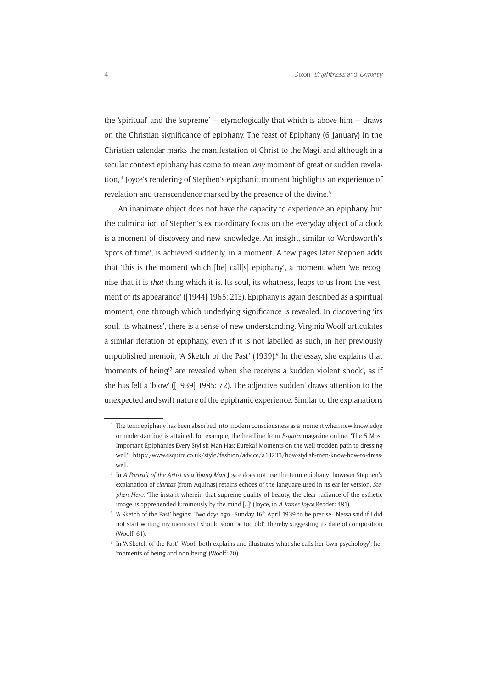the 'spiritual' and the 'supreme'  $-$  etymologically that which is above him  $-$  draws on the Christian significance of epiphany. The feast of Epiphany (6 January) in the Christian calendar marks the manifestation of Christ to the Magi, and although in a secular context epiphany has come to mean *any* moment of great or sudden revelation, <sup>4</sup> Joyce's rendering of Stephen's epiphanic moment highlights an experience of revelation and transcendence marked by the presence of the divine.<sup>5</sup>

An inanimate object does not have the capacity to experience an epiphany, but the culmination of Stephen's extraordinary focus on the everyday object of a clock is a moment of discovery and new knowledge. An insight, similar to Wordsworth's 'spots of time', is achieved suddenly, in a moment. A few pages later Stephen adds that 'this is the moment which [he] call[s] epiphany', a moment when 'we recognise that it is *that* thing which it is. Its soul, its whatness, leaps to us from the vestment of its appearance' ([1944] 1965: 213). Epiphany is again described as a spiritual moment, one through which underlying significance is revealed. In discovering 'its soul, its whatness', there is a sense of new understanding. Virginia Woolf articulates a similar iteration of epiphany, even if it is not labelled as such, in her previously unpublished memoir, 'A Sketch of the Past' (1939).<sup>6</sup> In the essay, she explains that 'moments of being<sup>7</sup> are revealed when she receives a 'sudden violent shock', as if she has felt a 'blow' ([1939] 1985: 72). The adjective 'sudden' draws attention to the unexpected and swift nature of the epiphanic experience. Similar to the explanations

<sup>4</sup> The term epiphany has been absorbed into modern consciousness as a moment when new knowledge or understanding is attained, for example, the headline from *Esquire* magazine online: 'The 5 Most Important Epiphanies Every Stylish Man Has: Eureka! Moments on the well-trodden path to dressing well' [http://www.esquire.co.uk/style/fashion/advice/a13233/how-stylish-men-know-how-to-dress](http://www.esquire.co.uk/style/fashion/advice/a13233/how-stylish-men-know-how-to-dress-well)[well](http://www.esquire.co.uk/style/fashion/advice/a13233/how-stylish-men-know-how-to-dress-well).

<sup>5</sup> In *A Portrait of the Artist as a Young Man* Joyce does not use the term epiphany; however Stephen's explanation of *claritas* (from Aquinas) retains echoes of the language used in its earlier version, *Stephen Hero*: 'The instant wherein that supreme quality of beauty, the clear radiance of the esthetic image, is apprehended luminously by the mind […]' (Joyce, in *A James Joyce* Reader: 481).

<sup>&</sup>lt;sup>6</sup> 'A Sketch of the Past' begins: 'Two days ago-Sunday 16<sup>th</sup> April 1939 to be precise-Nessa said if I did not start writing my memoirs I should soon be too old', thereby suggesting its date of composition (Woolf: 61).

<sup>7</sup> In 'A Sketch of the Past', Woolf both explains and illustrates what she calls her 'own psychology': her 'moments of being and non-being' (Woolf: 70).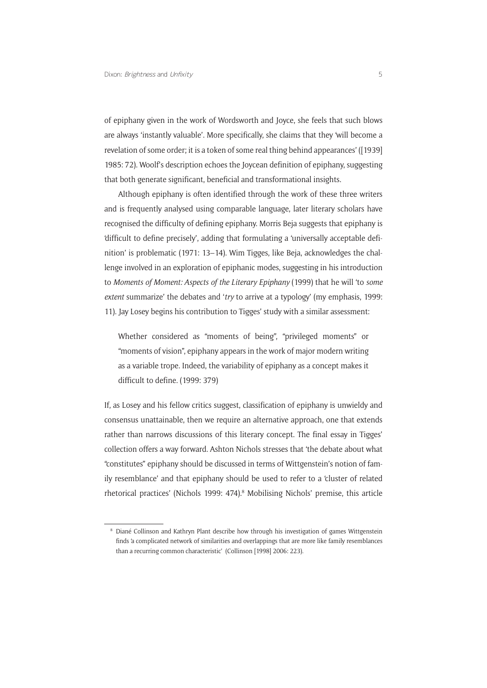of epiphany given in the work of Wordsworth and Joyce, she feels that such blows are always 'instantly valuable'. More specifically, she claims that they 'will become a revelation of some order; it is a token of some real thing behind appearances' ([1939] 1985: 72). Woolf's description echoes the Joycean definition of epiphany, suggesting that both generate significant, beneficial and transformational insights.

Although epiphany is often identified through the work of these three writers and is frequently analysed using comparable language, later literary scholars have recognised the difficulty of defining epiphany. Morris Beja suggests that epiphany is 'difficult to define precisely', adding that formulating a 'universally acceptable definition' is problematic (1971: 13–14). Wim Tigges, like Beja, acknowledges the challenge involved in an exploration of epiphanic modes, suggesting in his introduction to *Moments of Moment: Aspects of the Literary Epiphany* (1999) that he will 'to *some extent* summarize' the debates and '*try* to arrive at a typology' (my emphasis, 1999: 11). Jay Losey begins his contribution to Tigges' study with a similar assessment:

Whether considered as "moments of being", "privileged moments" or "moments of vision", epiphany appears in the work of major modern writing as a variable trope. Indeed, the variability of epiphany as a concept makes it difficult to define. (1999: 379)

If, as Losey and his fellow critics suggest, classification of epiphany is unwieldy and consensus unattainable, then we require an alternative approach, one that extends rather than narrows discussions of this literary concept. The final essay in Tigges' collection offers a way forward. Ashton Nichols stresses that 'the debate about what "constitutes" epiphany should be discussed in terms of Wittgenstein's notion of family resemblance' and that epiphany should be used to refer to a 'cluster of related rhetorical practices' (Nichols 1999: 474).<sup>8</sup> Mobilising Nichols' premise, this article

<sup>8</sup> Diané Collinson and Kathryn Plant describe how through his investigation of games Wittgenstein finds 'a complicated network of similarities and overlappings that are more like family resemblances than a recurring common characteristic' (Collinson [1998] 2006: 223).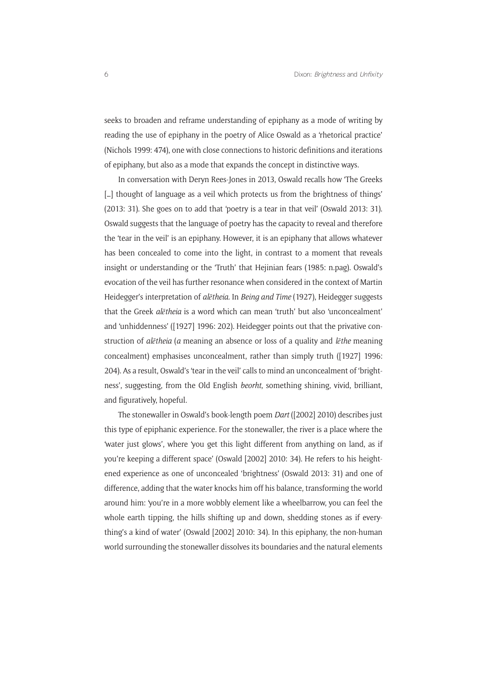seeks to broaden and reframe understanding of epiphany as a mode of writing by reading the use of epiphany in the poetry of Alice Oswald as a 'rhetorical practice' (Nichols 1999: 474), one with close connections to historic definitions and iterations of epiphany, but also as a mode that expands the concept in distinctive ways.

In conversation with Deryn Rees-Jones in 2013, Oswald recalls how 'The Greeks [...] thought of language as a veil which protects us from the brightness of things' (2013: 31). She goes on to add that 'poetry is a tear in that veil' (Oswald 2013: 31). Oswald suggests that the language of poetry has the capacity to reveal and therefore the 'tear in the veil' is an epiphany. However, it is an epiphany that allows whatever has been concealed to come into the light, in contrast to a moment that reveals insight or understanding or the 'Truth' that Hejinian fears (1985: n.pag). Oswald's evocation of the veil has further resonance when considered in the context of Martin Heidegger's interpretation of *alētheia.* In *Being and Time* (1927), Heidegger suggests that the Greek *alētheia* is a word which can mean 'truth' but also 'unconcealment' and 'unhiddenness' ([1927] 1996: 202). Heidegger points out that the privative construction of *alētheia* (*a* meaning an absence or loss of a quality and *lēthe* meaning concealment) emphasises unconcealment, rather than simply truth ([1927] 1996: 204). As a result, Oswald's 'tear in the veil' calls to mind an unconcealment of 'brightness', suggesting, from the Old English *beorht*, something shining, vivid, brilliant, and figuratively, hopeful.

The stonewaller in Oswald's book-length poem *Dart* ([2002] 2010) describes just this type of epiphanic experience. For the stonewaller, the river is a place where the 'water just glows', where 'you get this light different from anything on land, as if you're keeping a different space' (Oswald [2002] 2010: 34). He refers to his heightened experience as one of unconcealed 'brightness' (Oswald 2013: 31) and one of difference, adding that the water knocks him off his balance, transforming the world around him: 'you're in a more wobbly element like a wheelbarrow, you can feel the whole earth tipping, the hills shifting up and down, shedding stones as if everything's a kind of water' (Oswald [2002] 2010: 34). In this epiphany, the non-human world surrounding the stonewaller dissolves its boundaries and the natural elements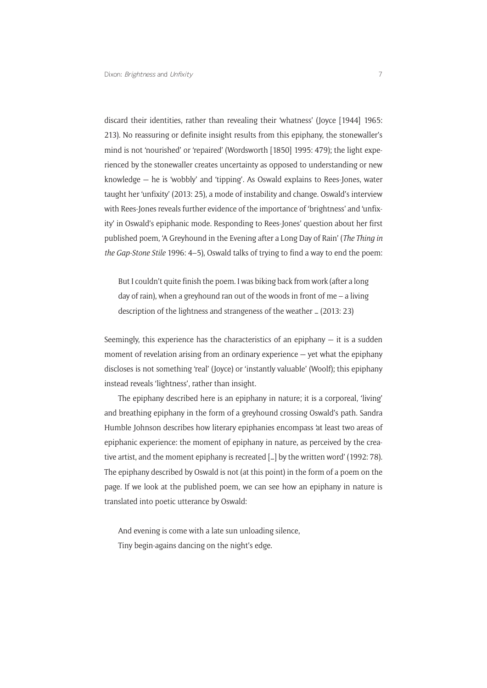discard their identities, rather than revealing their 'whatness' (Joyce [1944] 1965: 213). No reassuring or definite insight results from this epiphany, the stonewaller's mind is not 'nourished' or 'repaired' (Wordsworth [1850] 1995: 479); the light experienced by the stonewaller creates uncertainty as opposed to understanding or new knowledge — he is 'wobbly' and 'tipping'. As Oswald explains to Rees-Jones, water taught her 'unfixity' (2013: 25), a mode of instability and change. Oswald's interview with Rees-Jones reveals further evidence of the importance of 'brightness' and 'unfixity' in Oswald's epiphanic mode. Responding to Rees-Jones' question about her first published poem, 'A Greyhound in the Evening after a Long Day of Rain' (*The Thing in the Gap-Stone Stile* 1996: 4–5), Oswald talks of trying to find a way to end the poem:

But I couldn't quite finish the poem. I was biking back from work (after a long day of rain), when a greyhound ran out of the woods in front of me – a living description of the lightness and strangeness of the weather … (2013: 23)

Seemingly, this experience has the characteristics of an epiphany  $-$  it is a sudden moment of revelation arising from an ordinary experience — yet what the epiphany discloses is not something 'real' (Joyce) or 'instantly valuable' (Woolf); this epiphany instead reveals 'lightness', rather than insight.

The epiphany described here is an epiphany in nature; it is a corporeal, 'living' and breathing epiphany in the form of a greyhound crossing Oswald's path. Sandra Humble Johnson describes how literary epiphanies encompass 'at least two areas of epiphanic experience: the moment of epiphany in nature, as perceived by the creative artist, and the moment epiphany is recreated […] by the written word' (1992: 78). The epiphany described by Oswald is not (at this point) in the form of a poem on the page. If we look at the published poem, we can see how an epiphany in nature is translated into poetic utterance by Oswald:

And evening is come with a late sun unloading silence, Tiny begin-agains dancing on the night's edge.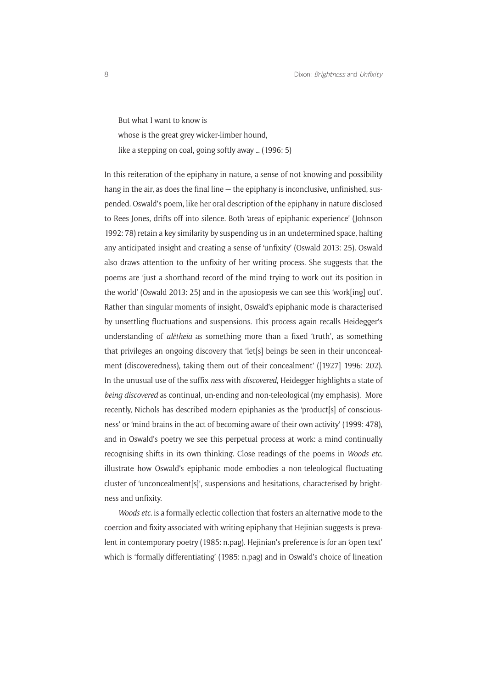But what I want to know is whose is the great grey wicker-limber hound, like a stepping on coal, going softly away … (1996: 5)

In this reiteration of the epiphany in nature, a sense of not-knowing and possibility hang in the air, as does the final line — the epiphany is inconclusive, unfinished, suspended. Oswald's poem, like her oral description of the epiphany in nature disclosed to Rees-Jones, drifts off into silence. Both 'areas of epiphanic experience' (Johnson 1992: 78) retain a key similarity by suspending us in an undetermined space, halting any anticipated insight and creating a sense of 'unfixity' (Oswald 2013: 25). Oswald also draws attention to the unfixity of her writing process. She suggests that the poems are 'just a shorthand record of the mind trying to work out its position in the world' (Oswald 2013: 25) and in the aposiopesis we can see this 'work[ing] out'. Rather than singular moments of insight, Oswald's epiphanic mode is characterised by unsettling fluctuations and suspensions. This process again recalls Heidegger's understanding of *alētheia* as something more than a fixed 'truth', as something that privileges an ongoing discovery that 'let[s] beings be seen in their unconcealment (discoveredness), taking them out of their concealment' ([1927] 1996: 202). In the unusual use of the suffix *ness* with *discovered*, Heidegger highlights a state of *being discovered* as continual, un-ending and non-teleological (my emphasis). More recently, Nichols has described modern epiphanies as the 'product[s] of consciousness' or 'mind-brains in the act of becoming aware of their own activity' (1999: 478), and in Oswald's poetry we see this perpetual process at work: a mind continually recognising shifts in its own thinking. Close readings of the poems in *Woods etc.*  illustrate how Oswald's epiphanic mode embodies a non-teleological fluctuating cluster of 'unconcealment[s]', suspensions and hesitations, characterised by brightness and unfixity.

*Woods etc.* is a formally eclectic collection that fosters an alternative mode to the coercion and fixity associated with writing epiphany that Hejinian suggests is prevalent in contemporary poetry (1985: n.pag). Hejinian's preference is for an 'open text' which is 'formally differentiating' (1985: n.pag) and in Oswald's choice of lineation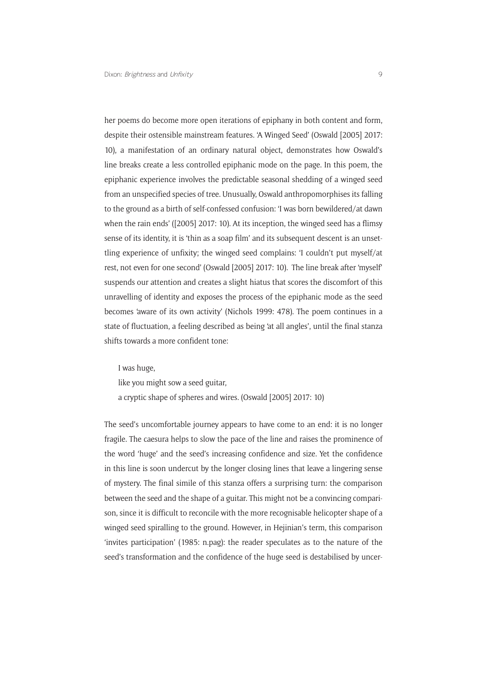her poems do become more open iterations of epiphany in both content and form, despite their ostensible mainstream features. 'A Winged Seed' (Oswald [2005] 2017: 10), a manifestation of an ordinary natural object, demonstrates how Oswald's line breaks create a less controlled epiphanic mode on the page. In this poem, the epiphanic experience involves the predictable seasonal shedding of a winged seed from an unspecified species of tree. Unusually, Oswald anthropomorphises its falling to the ground as a birth of self-confessed confusion: 'I was born bewildered/at dawn when the rain ends' ([2005] 2017: 10). At its inception, the winged seed has a flimsy sense of its identity, it is 'thin as a soap film' and its subsequent descent is an unsettling experience of unfixity; the winged seed complains: 'I couldn't put myself/at rest, not even for one second' (Oswald [2005] 2017: 10). The line break after 'myself' suspends our attention and creates a slight hiatus that scores the discomfort of this unravelling of identity and exposes the process of the epiphanic mode as the seed becomes 'aware of its own activity' (Nichols 1999: 478). The poem continues in a state of fluctuation, a feeling described as being 'at all angles', until the final stanza shifts towards a more confident tone:

I was huge,

like you might sow a seed guitar,

a cryptic shape of spheres and wires. (Oswald [2005] 2017: 10)

The seed's uncomfortable journey appears to have come to an end: it is no longer fragile. The caesura helps to slow the pace of the line and raises the prominence of the word 'huge' and the seed's increasing confidence and size. Yet the confidence in this line is soon undercut by the longer closing lines that leave a lingering sense of mystery. The final simile of this stanza offers a surprising turn: the comparison between the seed and the shape of a guitar. This might not be a convincing comparison, since it is difficult to reconcile with the more recognisable helicopter shape of a winged seed spiralling to the ground. However, in Hejinian's term, this comparison 'invites participation' (1985: n.pag): the reader speculates as to the nature of the seed's transformation and the confidence of the huge seed is destabilised by uncer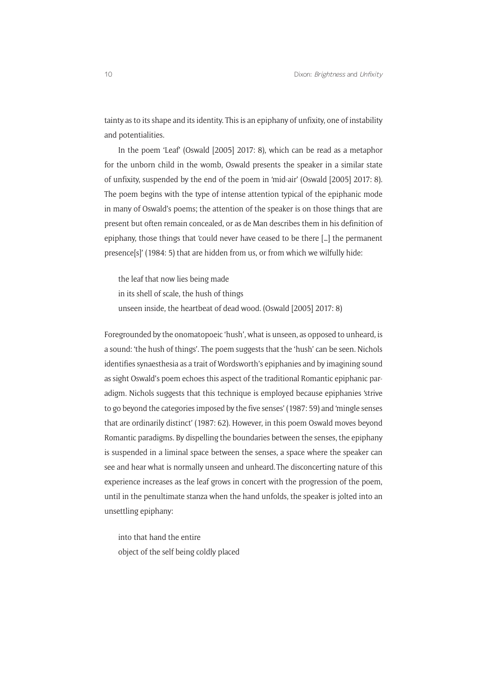tainty as to its shape and its identity. This is an epiphany of unfixity, one of instability and potentialities.

In the poem 'Leaf' (Oswald [2005] 2017: 8), which can be read as a metaphor for the unborn child in the womb, Oswald presents the speaker in a similar state of unfixity, suspended by the end of the poem in 'mid-air' (Oswald [2005] 2017: 8). The poem begins with the type of intense attention typical of the epiphanic mode in many of Oswald's poems; the attention of the speaker is on those things that are present but often remain concealed, or as de Man describes them in his definition of epiphany, those things that 'could never have ceased to be there […] the permanent presence[s]' (1984: 5) that are hidden from us, or from which we wilfully hide:

the leaf that now lies being made in its shell of scale, the hush of things unseen inside, the heartbeat of dead wood. (Oswald [2005] 2017: 8)

Foregrounded by the onomatopoeic 'hush', what is unseen, as opposed to unheard, is a sound: 'the hush of things'. The poem suggests that the 'hush' can be seen. Nichols identifies synaesthesia as a trait of Wordsworth's epiphanies and by imagining sound as sight Oswald's poem echoes this aspect of the traditional Romantic epiphanic paradigm. Nichols suggests that this technique is employed because epiphanies 'strive to go beyond the categories imposed by the five senses' (1987: 59) and 'mingle senses that are ordinarily distinct' (1987: 62). However, in this poem Oswald moves beyond Romantic paradigms. By dispelling the boundaries between the senses, the epiphany is suspended in a liminal space between the senses, a space where the speaker can see and hear what is normally unseen and unheard. The disconcerting nature of this experience increases as the leaf grows in concert with the progression of the poem, until in the penultimate stanza when the hand unfolds, the speaker is jolted into an unsettling epiphany:

into that hand the entire object of the self being coldly placed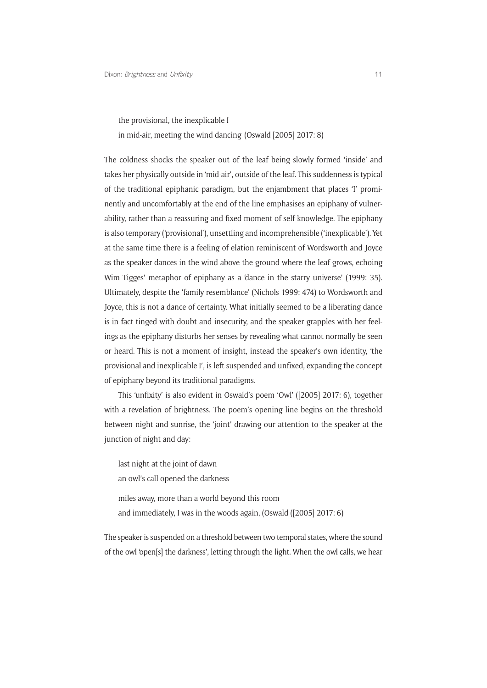the provisional, the inexplicable I

in mid-air, meeting the wind dancing (Oswald [2005] 2017: 8)

The coldness shocks the speaker out of the leaf being slowly formed 'inside' and takes her physically outside in 'mid-air', outside of the leaf. This suddenness is typical of the traditional epiphanic paradigm, but the enjambment that places 'I' prominently and uncomfortably at the end of the line emphasises an epiphany of vulnerability, rather than a reassuring and fixed moment of self-knowledge. The epiphany is also temporary ('provisional'), unsettling and incomprehensible ('inexplicable'). Yet at the same time there is a feeling of elation reminiscent of Wordsworth and Joyce as the speaker dances in the wind above the ground where the leaf grows, echoing Wim Tigges' metaphor of epiphany as a 'dance in the starry universe' (1999: 35). Ultimately, despite the 'family resemblance' (Nichols 1999: 474) to Wordsworth and Joyce, this is not a dance of certainty. What initially seemed to be a liberating dance is in fact tinged with doubt and insecurity, and the speaker grapples with her feelings as the epiphany disturbs her senses by revealing what cannot normally be seen or heard. This is not a moment of insight, instead the speaker's own identity, 'the provisional and inexplicable I', is left suspended and unfixed, expanding the concept of epiphany beyond its traditional paradigms.

This 'unfixity' is also evident in Oswald's poem 'Owl' ([2005] 2017: 6), together with a revelation of brightness. The poem's opening line begins on the threshold between night and sunrise, the 'joint' drawing our attention to the speaker at the junction of night and day:

last night at the joint of dawn an owl's call opened the darkness miles away, more than a world beyond this room and immediately, I was in the woods again, (Oswald ([2005] 2017: 6)

The speaker is suspended on a threshold between two temporal states, where the sound of the owl 'open[s] the darkness', letting through the light. When the owl calls, we hear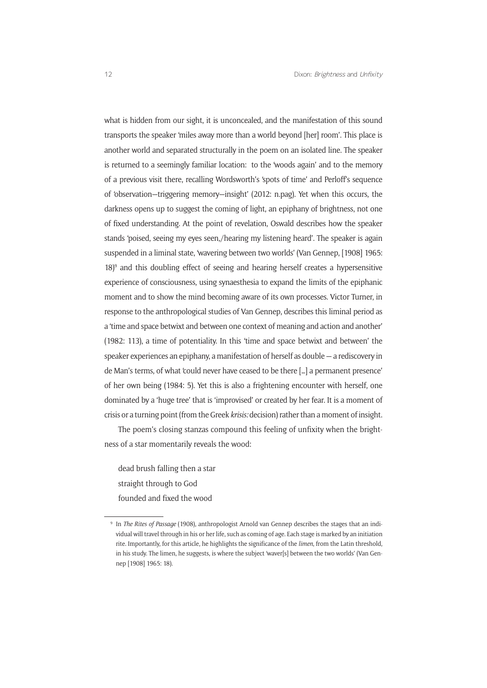what is hidden from our sight, it is unconcealed, and the manifestation of this sound transports the speaker 'miles away more than a world beyond [her] room'. This place is another world and separated structurally in the poem on an isolated line. The speaker is returned to a seemingly familiar location: to the 'woods again' and to the memory of a previous visit there, recalling Wordsworth's 'spots of time' and Perloff's sequence of 'observation—triggering memory—insight' (2012: n.pag). Yet when this occurs, the darkness opens up to suggest the coming of light, an epiphany of brightness, not one of fixed understanding. At the point of revelation, Oswald describes how the speaker stands 'poised, seeing my eyes seen,/hearing my listening heard'. The speaker is again suspended in a liminal state, 'wavering between two worlds' (Van Gennep, [1908] 1965:  $18$ <sup>9</sup> and this doubling effect of seeing and hearing herself creates a hypersensitive experience of consciousness, using synaesthesia to expand the limits of the epiphanic moment and to show the mind becoming aware of its own processes. Victor Turner, in response to the anthropological studies of Van Gennep, describes this liminal period as a 'time and space betwixt and between one context of meaning and action and another' (1982: 113), a time of potentiality. In this 'time and space betwixt and between' the speaker experiences an epiphany, a manifestation of herself as double — a rediscovery in de Man's terms, of what 'could never have ceased to be there […] a permanent presence' of her own being (1984: 5). Yet this is also a frightening encounter with herself, one dominated by a 'huge tree' that is 'improvised' or created by her fear. It is a moment of crisis or a turning point (from the Greek *krisis:* decision) rather than a moment of insight.

The poem's closing stanzas compound this feeling of unfixity when the brightness of a star momentarily reveals the wood:

dead brush falling then a star straight through to God founded and fixed the wood

<sup>9</sup> In *The Rites of Passage* (1908), anthropologist Arnold van Gennep describes the stages that an individual will travel through in his or her life, such as coming of age. Each stage is marked by an initiation rite. Importantly, for this article, he highlights the significance of the *limen*, from the Latin threshold, in his study. The limen, he suggests, is where the subject 'waver[s] between the two worlds' (Van Gennep [1908] 1965: 18).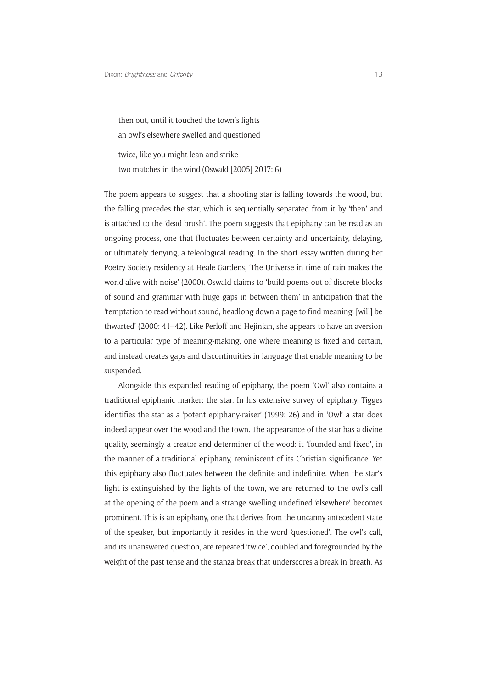then out, until it touched the town's lights an owl's elsewhere swelled and questioned twice, like you might lean and strike

two matches in the wind (Oswald [2005] 2017: 6)

The poem appears to suggest that a shooting star is falling towards the wood, but the falling precedes the star, which is sequentially separated from it by 'then' and is attached to the 'dead brush'. The poem suggests that epiphany can be read as an ongoing process, one that fluctuates between certainty and uncertainty, delaying, or ultimately denying, a teleological reading. In the short essay written during her Poetry Society residency at Heale Gardens, 'The Universe in time of rain makes the world alive with noise' (2000), Oswald claims to 'build poems out of discrete blocks of sound and grammar with huge gaps in between them' in anticipation that the 'temptation to read without sound, headlong down a page to find meaning, [will] be thwarted' (2000: 41–42). Like Perloff and Hejinian, she appears to have an aversion to a particular type of meaning-making, one where meaning is fixed and certain, and instead creates gaps and discontinuities in language that enable meaning to be suspended.

Alongside this expanded reading of epiphany, the poem 'Owl' also contains a traditional epiphanic marker: the star. In his extensive survey of epiphany, Tigges identifies the star as a 'potent epiphany-raiser' (1999: 26) and in 'Owl' a star does indeed appear over the wood and the town. The appearance of the star has a divine quality, seemingly a creator and determiner of the wood: it 'founded and fixed', in the manner of a traditional epiphany, reminiscent of its Christian significance. Yet this epiphany also fluctuates between the definite and indefinite. When the star's light is extinguished by the lights of the town, we are returned to the owl's call at the opening of the poem and a strange swelling undefined 'elsewhere' becomes prominent. This is an epiphany, one that derives from the uncanny antecedent state of the speaker, but importantly it resides in the word 'questioned'. The owl's call, and its unanswered question, are repeated 'twice', doubled and foregrounded by the weight of the past tense and the stanza break that underscores a break in breath. As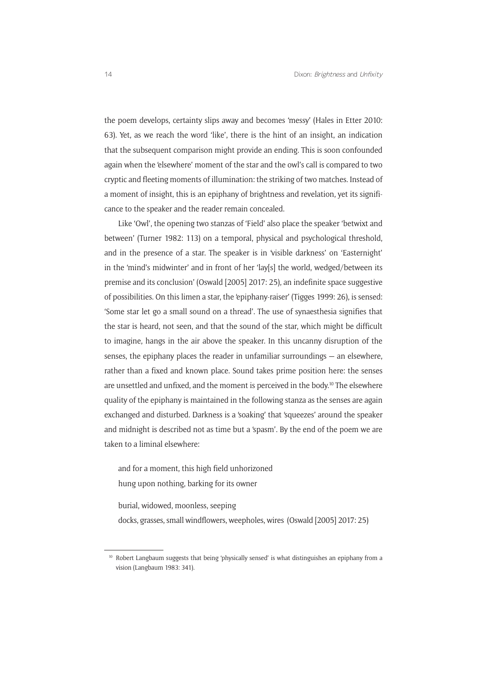the poem develops, certainty slips away and becomes 'messy' (Hales in Etter 2010: 63). Yet, as we reach the word 'like', there is the hint of an insight, an indication that the subsequent comparison might provide an ending. This is soon confounded again when the 'elsewhere' moment of the star and the owl's call is compared to two cryptic and fleeting moments of illumination: the striking of two matches. Instead of a moment of insight, this is an epiphany of brightness and revelation, yet its significance to the speaker and the reader remain concealed.

Like 'Owl', the opening two stanzas of 'Field' also place the speaker 'betwixt and between' (Turner 1982: 113) on a temporal, physical and psychological threshold, and in the presence of a star. The speaker is in 'visible darkness' on 'Easternight' in the 'mind's midwinter' and in front of her 'lay[s] the world, wedged/between its premise and its conclusion' (Oswald [2005] 2017: 25), an indefinite space suggestive of possibilities. On this limen a star, the 'epiphany-raiser' (Tigges 1999: 26), is sensed: 'Some star let go a small sound on a thread'. The use of synaesthesia signifies that the star is heard, not seen, and that the sound of the star, which might be difficult to imagine, hangs in the air above the speaker. In this uncanny disruption of the senses, the epiphany places the reader in unfamiliar surroundings — an elsewhere, rather than a fixed and known place. Sound takes prime position here: the senses are unsettled and unfixed, and the moment is perceived in the body.10 The elsewhere quality of the epiphany is maintained in the following stanza as the senses are again exchanged and disturbed. Darkness is a 'soaking' that 'squeezes' around the speaker and midnight is described not as time but a 'spasm'. By the end of the poem we are taken to a liminal elsewhere:

and for a moment, this high field unhorizoned hung upon nothing, barking for its owner

burial, widowed, moonless, seeping

docks, grasses, small windflowers, weepholes, wires (Oswald [2005] 2017: 25)

<sup>&</sup>lt;sup>10</sup> Robert Langbaum suggests that being 'physically sensed' is what distinguishes an epiphany from a vision (Langbaum 1983: 341).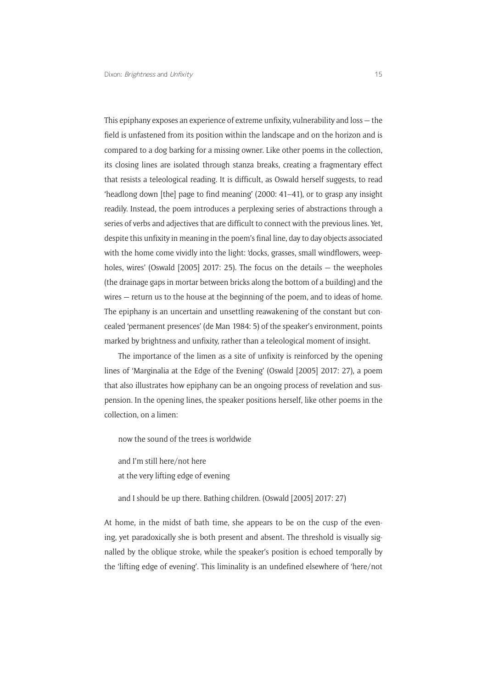This epiphany exposes an experience of extreme unfixity, vulnerability and loss — the field is unfastened from its position within the landscape and on the horizon and is compared to a dog barking for a missing owner. Like other poems in the collection, its closing lines are isolated through stanza breaks, creating a fragmentary effect that resists a teleological reading. It is difficult, as Oswald herself suggests, to read 'headlong down [the] page to find meaning' (2000: 41–41), or to grasp any insight readily. Instead, the poem introduces a perplexing series of abstractions through a series of verbs and adjectives that are difficult to connect with the previous lines. Yet, despite this unfixity in meaning in the poem's final line, day to day objects associated with the home come vividly into the light: 'docks, grasses, small windflowers, weepholes, wires' (Oswald [2005] 2017: 25). The focus on the details — the weepholes (the drainage gaps in mortar between bricks along the bottom of a building) and the wires — return us to the house at the beginning of the poem, and to ideas of home. The epiphany is an uncertain and unsettling reawakening of the constant but concealed 'permanent presences' (de Man 1984: 5) of the speaker's environment, points marked by brightness and unfixity, rather than a teleological moment of insight.

The importance of the limen as a site of unfixity is reinforced by the opening lines of 'Marginalia at the Edge of the Evening' (Oswald [2005] 2017: 27), a poem that also illustrates how epiphany can be an ongoing process of revelation and suspension. In the opening lines, the speaker positions herself, like other poems in the collection, on a limen:

now the sound of the trees is worldwide

and I'm still here/not here at the very lifting edge of evening

and I should be up there. Bathing children. (Oswald [2005] 2017: 27)

At home, in the midst of bath time, she appears to be on the cusp of the evening, yet paradoxically she is both present and absent. The threshold is visually signalled by the oblique stroke, while the speaker's position is echoed temporally by the 'lifting edge of evening'. This liminality is an undefined elsewhere of 'here/not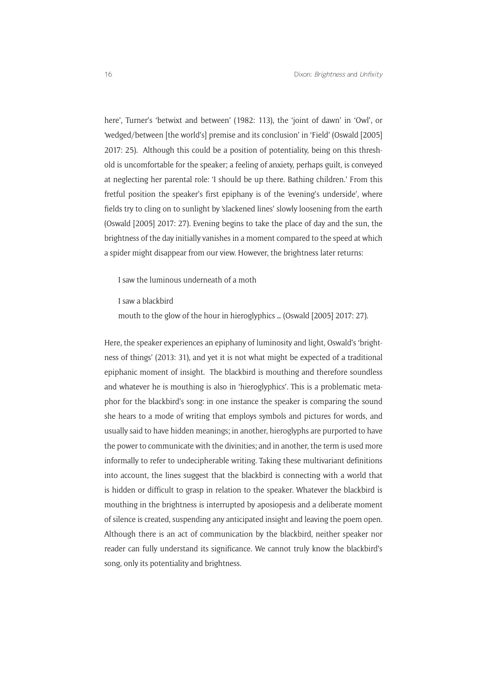here', Turner's 'betwixt and between' (1982: 113), the 'joint of dawn' in 'Owl', or 'wedged/between [the world's] premise and its conclusion' in 'Field' (Oswald [2005] 2017: 25). Although this could be a position of potentiality, being on this threshold is uncomfortable for the speaker; a feeling of anxiety, perhaps guilt, is conveyed at neglecting her parental role: 'I should be up there. Bathing children.' From this fretful position the speaker's first epiphany is of the 'evening's underside', where fields try to cling on to sunlight by 'slackened lines' slowly loosening from the earth (Oswald [2005] 2017: 27). Evening begins to take the place of day and the sun, the brightness of the day initially vanishes in a moment compared to the speed at which a spider might disappear from our view. However, the brightness later returns:

I saw the luminous underneath of a moth

I saw a blackbird

mouth to the glow of the hour in hieroglyphics … (Oswald [2005] 2017: 27).

Here, the speaker experiences an epiphany of luminosity and light, Oswald's 'brightness of things' (2013: 31), and yet it is not what might be expected of a traditional epiphanic moment of insight. The blackbird is mouthing and therefore soundless and whatever he is mouthing is also in 'hieroglyphics'. This is a problematic metaphor for the blackbird's song: in one instance the speaker is comparing the sound she hears to a mode of writing that employs symbols and pictures for words, and usually said to have hidden meanings; in another, hieroglyphs are purported to have the power to communicate with the divinities; and in another, the term is used more informally to refer to undecipherable writing. Taking these multivariant definitions into account, the lines suggest that the blackbird is connecting with a world that is hidden or difficult to grasp in relation to the speaker. Whatever the blackbird is mouthing in the brightness is interrupted by aposiopesis and a deliberate moment of silence is created, suspending any anticipated insight and leaving the poem open. Although there is an act of communication by the blackbird, neither speaker nor reader can fully understand its significance. We cannot truly know the blackbird's song, only its potentiality and brightness.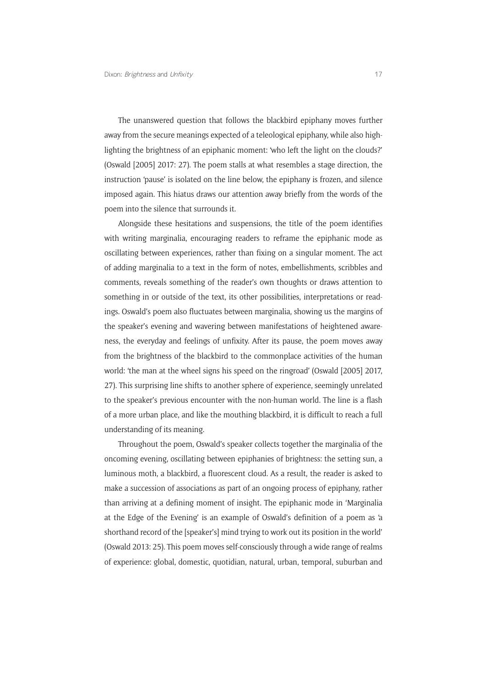The unanswered question that follows the blackbird epiphany moves further away from the secure meanings expected of a teleological epiphany, while also highlighting the brightness of an epiphanic moment: 'who left the light on the clouds?' (Oswald [2005] 2017: 27). The poem stalls at what resembles a stage direction, the instruction 'pause' is isolated on the line below, the epiphany is frozen, and silence imposed again. This hiatus draws our attention away briefly from the words of the poem into the silence that surrounds it.

Alongside these hesitations and suspensions, the title of the poem identifies with writing marginalia, encouraging readers to reframe the epiphanic mode as oscillating between experiences, rather than fixing on a singular moment. The act of adding marginalia to a text in the form of notes, embellishments, scribbles and comments, reveals something of the reader's own thoughts or draws attention to something in or outside of the text, its other possibilities, interpretations or readings. Oswald's poem also fluctuates between marginalia, showing us the margins of the speaker's evening and wavering between manifestations of heightened awareness, the everyday and feelings of unfixity. After its pause, the poem moves away from the brightness of the blackbird to the commonplace activities of the human world: 'the man at the wheel signs his speed on the ringroad' (Oswald [2005] 2017, 27). This surprising line shifts to another sphere of experience, seemingly unrelated to the speaker's previous encounter with the non-human world. The line is a flash of a more urban place, and like the mouthing blackbird, it is difficult to reach a full understanding of its meaning.

Throughout the poem, Oswald's speaker collects together the marginalia of the oncoming evening, oscillating between epiphanies of brightness: the setting sun, a luminous moth, a blackbird, a fluorescent cloud. As a result, the reader is asked to make a succession of associations as part of an ongoing process of epiphany, rather than arriving at a defining moment of insight. The epiphanic mode in 'Marginalia at the Edge of the Evening' is an example of Oswald's definition of a poem as 'a shorthand record of the [speaker's] mind trying to work out its position in the world' (Oswald 2013: 25). This poem moves self-consciously through a wide range of realms of experience: global, domestic, quotidian, natural, urban, temporal, suburban and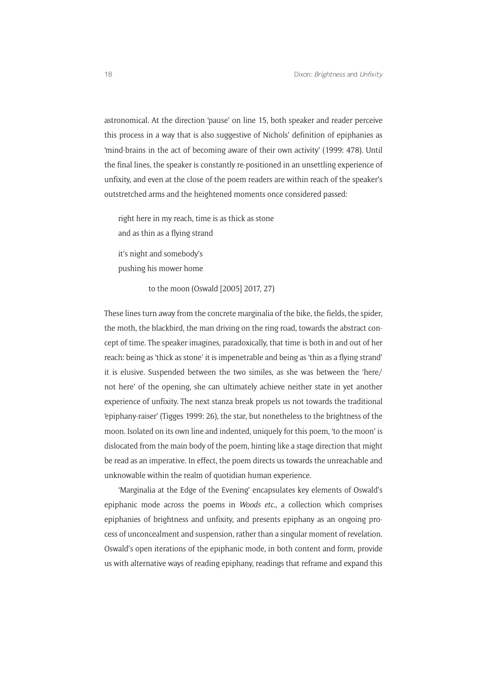astronomical. At the direction 'pause' on line 15, both speaker and reader perceive this process in a way that is also suggestive of Nichols' definition of epiphanies as 'mind-brains in the act of becoming aware of their own activity' (1999: 478). Until the final lines, the speaker is constantly re-positioned in an unsettling experience of unfixity, and even at the close of the poem readers are within reach of the speaker's outstretched arms and the heightened moments once considered passed:

right here in my reach, time is as thick as stone and as thin as a flying strand

it's night and somebody's pushing his mower home

to the moon (Oswald [2005] 2017, 27)

These lines turn away from the concrete marginalia of the bike, the fields, the spider, the moth, the blackbird, the man driving on the ring road, towards the abstract concept of time. The speaker imagines, paradoxically, that time is both in and out of her reach: being as 'thick as stone' it is impenetrable and being as 'thin as a flying strand' it is elusive. Suspended between the two similes, as she was between the 'here/ not here' of the opening, she can ultimately achieve neither state in yet another experience of unfixity. The next stanza break propels us not towards the traditional 'epiphany-raiser' (Tigges 1999: 26), the star, but nonetheless to the brightness of the moon. Isolated on its own line and indented, uniquely for this poem, 'to the moon' is dislocated from the main body of the poem, hinting like a stage direction that might be read as an imperative. In effect, the poem directs us towards the unreachable and unknowable within the realm of quotidian human experience.

'Marginalia at the Edge of the Evening' encapsulates key elements of Oswald's epiphanic mode across the poems in *Woods etc.*, a collection which comprises epiphanies of brightness and unfixity, and presents epiphany as an ongoing process of unconcealment and suspension, rather than a singular moment of revelation. Oswald's open iterations of the epiphanic mode, in both content and form, provide us with alternative ways of reading epiphany, readings that reframe and expand this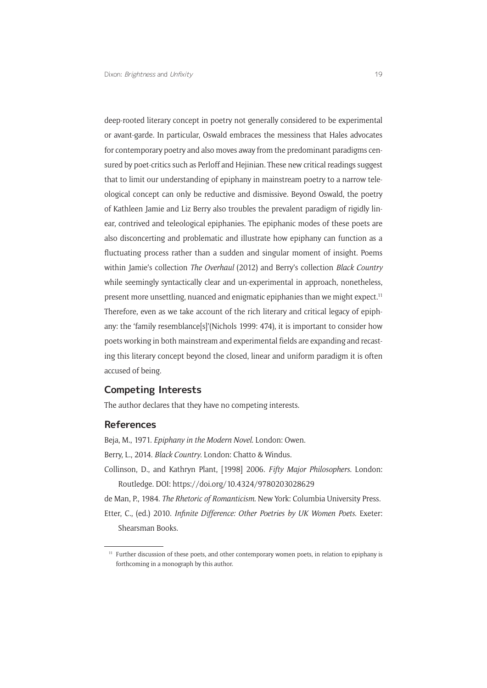deep-rooted literary concept in poetry not generally considered to be experimental or avant-garde. In particular, Oswald embraces the messiness that Hales advocates for contemporary poetry and also moves away from the predominant paradigms censured by poet-critics such as Perloff and Hejinian. These new critical readings suggest that to limit our understanding of epiphany in mainstream poetry to a narrow teleological concept can only be reductive and dismissive. Beyond Oswald, the poetry of Kathleen Jamie and Liz Berry also troubles the prevalent paradigm of rigidly linear, contrived and teleological epiphanies. The epiphanic modes of these poets are also disconcerting and problematic and illustrate how epiphany can function as a fluctuating process rather than a sudden and singular moment of insight. Poems within Jamie's collection *The Overhaul* (2012) and Berry's collection *Black Country* while seemingly syntactically clear and un-experimental in approach, nonetheless, present more unsettling, nuanced and enigmatic epiphanies than we might expect.11 Therefore, even as we take account of the rich literary and critical legacy of epiphany: the 'family resemblance[s]'(Nichols 1999: 474), it is important to consider how poets working in both mainstream and experimental fields are expanding and recasting this literary concept beyond the closed, linear and uniform paradigm it is often accused of being.

#### **Competing Interests**

The author declares that they have no competing interests.

#### **References**

Beja, M., 1971. *Epiphany in the Modern Novel*. London: Owen.

Berry, L., 2014. *Black Country*. London: Chatto & Windus.

Collinson, D., and Kathryn Plant, [1998] 2006. *Fifty Major Philosophers*. London: Routledge. DOI:<https://doi.org/10.4324/9780203028629>

de Man, P., 1984. *The Rhetoric of Romanticism*. New York: Columbia University Press. Etter, C., (ed.) 2010. *Infinite Difference: Other Poetries by UK Women Poets*. Exeter: Shearsman Books.

<sup>&</sup>lt;sup>11</sup> Further discussion of these poets, and other contemporary women poets, in relation to epiphany is forthcoming in a monograph by this author.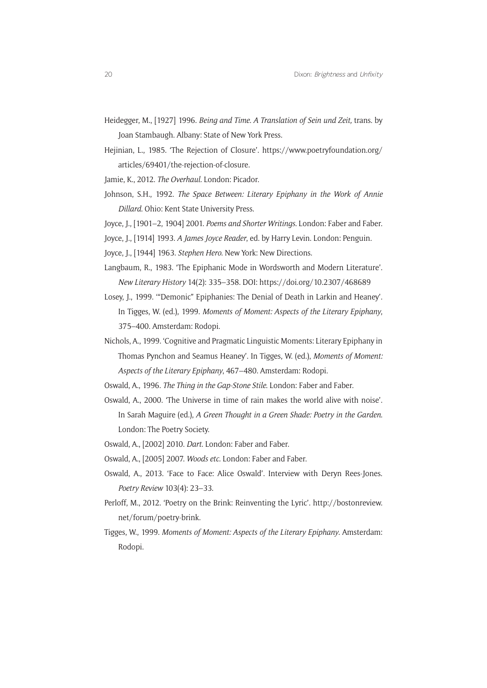- Heidegger, M., [1927] 1996. *Being and Time. A Translation of Sein und Zeit,* trans. by Joan Stambaugh. Albany: State of New York Press.
- Hejinian, L., 1985. 'The Rejection of Closure'. [https://www.poetryfoundation.org/](https://www.poetryfoundation.org/articles/69401/the-rejection-of-closure) [articles/69401/the-rejection-of-closure.](https://www.poetryfoundation.org/articles/69401/the-rejection-of-closure)
- Jamie, K., 2012. *The Overhaul.* London: Picador.
- Johnson, S.H., 1992. *The Space Between: Literary Epiphany in the Work of Annie Dillard*. Ohio: Kent State University Press.
- Joyce, J., [1901–2, 1904] 2001. *Poems and Shorter Writings*. London: Faber and Faber.
- Joyce, J., [1914] 1993. *A James Joyce Reader*, ed. by Harry Levin. London: Penguin.
- Joyce, J., [1944] 1963. *Stephen Hero*. New York: New Directions.
- Langbaum, R., 1983. 'The Epiphanic Mode in Wordsworth and Modern Literature'. *New Literary History* 14(2): 335–358. DOI:<https://doi.org/10.2307/468689>
- Losey, J., 1999. '"Demonic" Epiphanies: The Denial of Death in Larkin and Heaney'. In Tigges, W. (ed.), 1999. *Moments of Moment: Aspects of the Literary Epiphany*, 375–400. Amsterdam: Rodopi.
- Nichols, A., 1999. 'Cognitive and Pragmatic Linguistic Moments: Literary Epiphany in Thomas Pynchon and Seamus Heaney'. In Tigges, W. (ed.), *Moments of Moment: Aspects of the Literary Epiphany*, 467–480. Amsterdam: Rodopi.
- Oswald, A., 1996. *The Thing in the Gap-Stone Stile*. London: Faber and Faber.
- Oswald, A., 2000. 'The Universe in time of rain makes the world alive with noise'. In Sarah Maguire (ed.), *A Green Thought in a Green Shade: Poetry in the Garden*. London: The Poetry Society.
- Oswald, A., [2002] 2010. *Dart*. London: Faber and Faber.
- Oswald, A., [2005] 2007. *Woods etc.* London: Faber and Faber.
- Oswald, A., 2013. 'Face to Face: Alice Oswald'. Interview with Deryn Rees-Jones. *Poetry Review* 103(4): 23–33.
- Perloff, M., 2012. 'Poetry on the Brink: Reinventing the Lyric'. [http://bostonreview.](http://bostonreview.net/forum/poetry-brink) [net/forum/poetry-brink](http://bostonreview.net/forum/poetry-brink).
- Tigges, W., 1999. *Moments of Moment: Aspects of the Literary Epiphany*. Amsterdam: Rodopi.